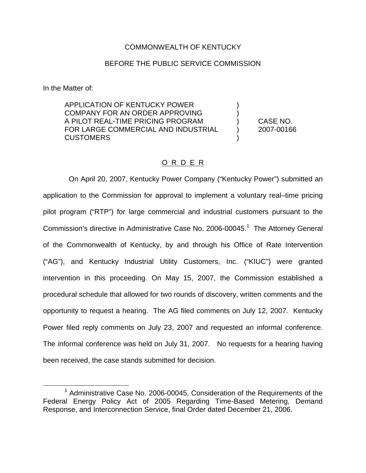# COMMONWEALTH OF KENTUCKY

# BEFORE THE PUBLIC SERVICE COMMISSION

In the Matter of:

APPLICATION OF KENTUCKY POWER COMPANY FOR AN ORDER APPROVING A PILOT REAL-TIME PRICING PROGRAM ) CASE NO. FOR LARGE COMMERCIAL AND INDUSTRIAL (2007-00166 **CUSTOMERS** 

# O R D E R

On April 20, 2007, Kentucky Power Company ("Kentucky Power") submitted an application to the Commission for approval to implement a voluntary real–time pricing pilot program ("RTP") for large commercial and industrial customers pursuant to the Commission's directive in Administrative Case No. 2006-00045.<sup>1</sup> The Attorney General of the Commonwealth of Kentucky, by and through his Office of Rate Intervention ("AG"), and Kentucky Industrial Utility Customers, Inc. ("KIUC") were granted intervention in this proceeding. On May 15, 2007, the Commission established a procedural schedule that allowed for two rounds of discovery, written comments and the opportunity to request a hearing. The AG filed comments on July 12, 2007. Kentucky Power filed reply comments on July 23, 2007 and requested an informal conference. The informal conference was held on July 31, 2007. No requests for a hearing having been received, the case stands submitted for decision.

 $1$  Administrative Case No. 2006-00045, Consideration of the Requirements of the Federal Energy Policy Act of 2005 Regarding Time-Based Metering, Demand Response, and Interconnection Service, final Order dated December 21, 2006.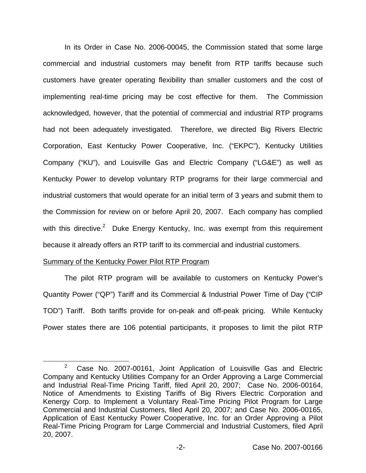In its Order in Case No. 2006-00045, the Commission stated that some large commercial and industrial customers may benefit from RTP tariffs because such customers have greater operating flexibility than smaller customers and the cost of implementing real-time pricing may be cost effective for them. The Commission acknowledged, however, that the potential of commercial and industrial RTP programs had not been adequately investigated. Therefore, we directed Big Rivers Electric Corporation, East Kentucky Power Cooperative, Inc. ("EKPC"), Kentucky Utilities Company ("KU"), and Louisville Gas and Electric Company ("LG&E") as well as Kentucky Power to develop voluntary RTP programs for their large commercial and industrial customers that would operate for an initial term of 3 years and submit them to the Commission for review on or before April 20, 2007. Each company has complied with this directive.<sup>2</sup> Duke Energy Kentucky, Inc. was exempt from this requirement because it already offers an RTP tariff to its commercial and industrial customers.

#### Summary of the Kentucky Power Pilot RTP Program

The pilot RTP program will be available to customers on Kentucky Power's Quantity Power ("QP") Tariff and its Commercial & Industrial Power Time of Day ("CIP TOD") Tariff. Both tariffs provide for on-peak and off-peak pricing. While Kentucky Power states there are 106 potential participants, it proposes to limit the pilot RTP

 $2^2$  Case No. 2007-00161, Joint Application of Louisville Gas and Electric Company and Kentucky Utilities Company for an Order Approving a Large Commercial and Industrial Real-Time Pricing Tariff, filed April 20, 2007; Case No. 2006-00164, Notice of Amendments to Existing Tariffs of Big Rivers Electric Corporation and Kenergy Corp. to Implement a Voluntary Real-Time Pricing Pilot Program for Large Commercial and Industrial Customers, filed April 20, 2007; and Case No. 2006-00165, Application of East Kentucky Power Cooperative, Inc. for an Order Approving a Pilot Real-Time Pricing Program for Large Commercial and Industrial Customers, filed April 20, 2007.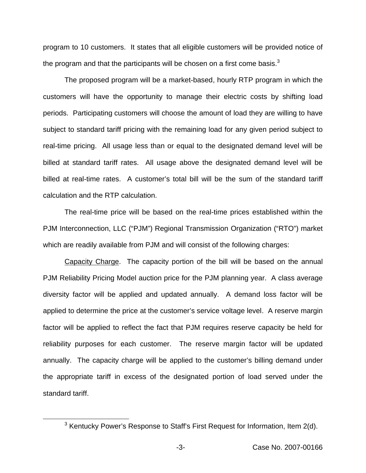program to 10 customers. It states that all eligible customers will be provided notice of the program and that the participants will be chosen on a first come basis. $3$ 

The proposed program will be a market-based, hourly RTP program in which the customers will have the opportunity to manage their electric costs by shifting load periods. Participating customers will choose the amount of load they are willing to have subject to standard tariff pricing with the remaining load for any given period subject to real-time pricing. All usage less than or equal to the designated demand level will be billed at standard tariff rates. All usage above the designated demand level will be billed at real-time rates. A customer's total bill will be the sum of the standard tariff calculation and the RTP calculation.

The real-time price will be based on the real-time prices established within the PJM Interconnection, LLC ("PJM") Regional Transmission Organization ("RTO") market which are readily available from PJM and will consist of the following charges:

Capacity Charge. The capacity portion of the bill will be based on the annual PJM Reliability Pricing Model auction price for the PJM planning year. A class average diversity factor will be applied and updated annually. A demand loss factor will be applied to determine the price at the customer's service voltage level. A reserve margin factor will be applied to reflect the fact that PJM requires reserve capacity be held for reliability purposes for each customer. The reserve margin factor will be updated annually. The capacity charge will be applied to the customer's billing demand under the appropriate tariff in excess of the designated portion of load served under the standard tariff.

 $3$  Kentucky Power's Response to Staff's First Request for Information, Item 2(d).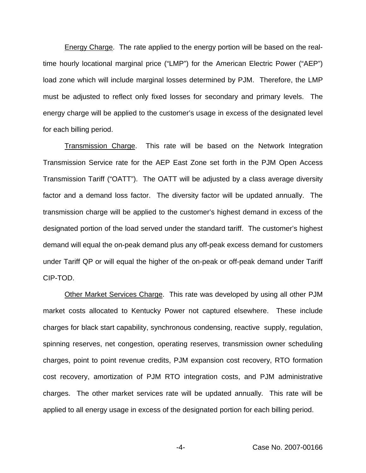Energy Charge. The rate applied to the energy portion will be based on the realtime hourly locational marginal price ("LMP") for the American Electric Power ("AEP") load zone which will include marginal losses determined by PJM. Therefore, the LMP must be adjusted to reflect only fixed losses for secondary and primary levels. The energy charge will be applied to the customer's usage in excess of the designated level for each billing period.

Transmission Charge. This rate will be based on the Network Integration Transmission Service rate for the AEP East Zone set forth in the PJM Open Access Transmission Tariff ("OATT"). The OATT will be adjusted by a class average diversity factor and a demand loss factor. The diversity factor will be updated annually. The transmission charge will be applied to the customer's highest demand in excess of the designated portion of the load served under the standard tariff. The customer's highest demand will equal the on-peak demand plus any off-peak excess demand for customers under Tariff QP or will equal the higher of the on-peak or off-peak demand under Tariff CIP-TOD.

Other Market Services Charge. This rate was developed by using all other PJM market costs allocated to Kentucky Power not captured elsewhere. These include charges for black start capability, synchronous condensing, reactive supply, regulation, spinning reserves, net congestion, operating reserves, transmission owner scheduling charges, point to point revenue credits, PJM expansion cost recovery, RTO formation cost recovery, amortization of PJM RTO integration costs, and PJM administrative charges. The other market services rate will be updated annually. This rate will be applied to all energy usage in excess of the designated portion for each billing period.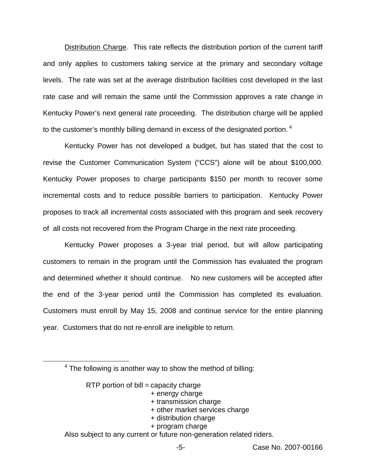Distribution Charge. This rate reflects the distribution portion of the current tariff and only applies to customers taking service at the primary and secondary voltage levels. The rate was set at the average distribution facilities cost developed in the last rate case and will remain the same until the Commission approves a rate change in Kentucky Power's next general rate proceeding. The distribution charge will be applied to the customer's monthly billing demand in excess of the designated portion.<sup>4</sup>

Kentucky Power has not developed a budget, but has stated that the cost to revise the Customer Communication System ("CCS") alone will be about \$100,000. Kentucky Power proposes to charge participants \$150 per month to recover some incremental costs and to reduce possible barriers to participation. Kentucky Power proposes to track all incremental costs associated with this program and seek recovery of all costs not recovered from the Program Charge in the next rate proceeding.

Kentucky Power proposes a 3-year trial period, but will allow participating customers to remain in the program until the Commission has evaluated the program and determined whether it should continue. No new customers will be accepted after the end of the 3-year period until the Commission has completed its evaluation. Customers must enroll by May 15, 2008 and continue service for the entire planning year. Customers that do not re-enroll are ineligible to return.

RTP portion of  $\text{bill} = \text{capacity}$  charge

- + energy charge
- + transmission charge
- + other market services charge
- + distribution charge
- + program charge

Also subject to any current or future non-generation related riders.

 $4$  The following is another way to show the method of billing: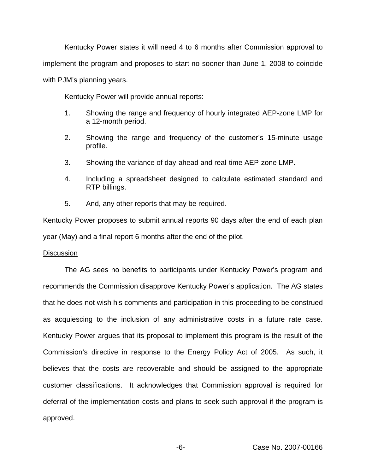Kentucky Power states it will need 4 to 6 months after Commission approval to implement the program and proposes to start no sooner than June 1, 2008 to coincide with PJM's planning years.

Kentucky Power will provide annual reports:

- 1. Showing the range and frequency of hourly integrated AEP-zone LMP for a 12-month period.
- 2. Showing the range and frequency of the customer's 15-minute usage profile.
- 3. Showing the variance of day-ahead and real-time AEP-zone LMP.
- 4. Including a spreadsheet designed to calculate estimated standard and RTP billings.
- 5. And, any other reports that may be required.

Kentucky Power proposes to submit annual reports 90 days after the end of each plan year (May) and a final report 6 months after the end of the pilot.

# **Discussion**

The AG sees no benefits to participants under Kentucky Power's program and recommends the Commission disapprove Kentucky Power's application. The AG states that he does not wish his comments and participation in this proceeding to be construed as acquiescing to the inclusion of any administrative costs in a future rate case. Kentucky Power argues that its proposal to implement this program is the result of the Commission's directive in response to the Energy Policy Act of 2005. As such, it believes that the costs are recoverable and should be assigned to the appropriate customer classifications. It acknowledges that Commission approval is required for deferral of the implementation costs and plans to seek such approval if the program is approved.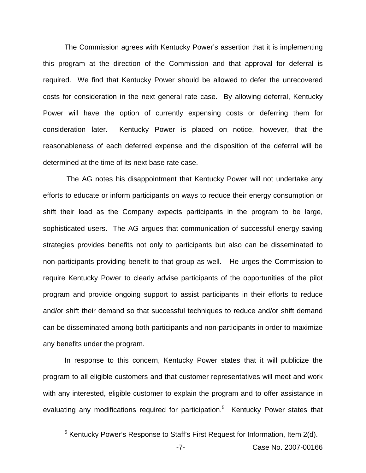The Commission agrees with Kentucky Power's assertion that it is implementing this program at the direction of the Commission and that approval for deferral is required. We find that Kentucky Power should be allowed to defer the unrecovered costs for consideration in the next general rate case. By allowing deferral, Kentucky Power will have the option of currently expensing costs or deferring them for consideration later. Kentucky Power is placed on notice, however, that the reasonableness of each deferred expense and the disposition of the deferral will be determined at the time of its next base rate case.

The AG notes his disappointment that Kentucky Power will not undertake any efforts to educate or inform participants on ways to reduce their energy consumption or shift their load as the Company expects participants in the program to be large, sophisticated users. The AG argues that communication of successful energy saving strategies provides benefits not only to participants but also can be disseminated to non-participants providing benefit to that group as well. He urges the Commission to require Kentucky Power to clearly advise participants of the opportunities of the pilot program and provide ongoing support to assist participants in their efforts to reduce and/or shift their demand so that successful techniques to reduce and/or shift demand can be disseminated among both participants and non-participants in order to maximize any benefits under the program.

In response to this concern, Kentucky Power states that it will publicize the program to all eligible customers and that customer representatives will meet and work with any interested, eligible customer to explain the program and to offer assistance in evaluating any modifications required for participation.<sup>5</sup> Kentucky Power states that

<sup>&</sup>lt;sup>5</sup> Kentucky Power's Response to Staff's First Request for Information, Item 2(d).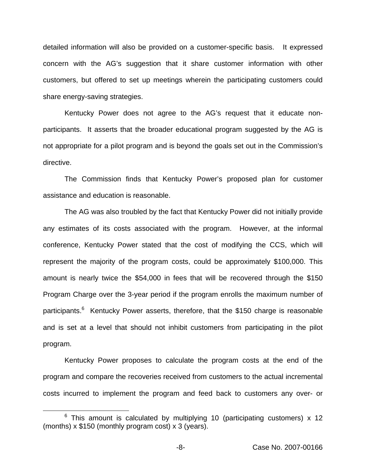detailed information will also be provided on a customer-specific basis. It expressed concern with the AG's suggestion that it share customer information with other customers, but offered to set up meetings wherein the participating customers could share energy-saving strategies.

Kentucky Power does not agree to the AG's request that it educate nonparticipants. It asserts that the broader educational program suggested by the AG is not appropriate for a pilot program and is beyond the goals set out in the Commission's directive.

The Commission finds that Kentucky Power's proposed plan for customer assistance and education is reasonable.

The AG was also troubled by the fact that Kentucky Power did not initially provide any estimates of its costs associated with the program. However, at the informal conference, Kentucky Power stated that the cost of modifying the CCS, which will represent the majority of the program costs, could be approximately \$100,000. This amount is nearly twice the \$54,000 in fees that will be recovered through the \$150 Program Charge over the 3-year period if the program enrolls the maximum number of participants.<sup>6</sup> Kentucky Power asserts, therefore, that the \$150 charge is reasonable and is set at a level that should not inhibit customers from participating in the pilot program.

Kentucky Power proposes to calculate the program costs at the end of the program and compare the recoveries received from customers to the actual incremental costs incurred to implement the program and feed back to customers any over- or

 $6$  This amount is calculated by multiplying 10 (participating customers) x 12 (months)  $x$  \$150 (monthly program cost)  $x$  3 (years).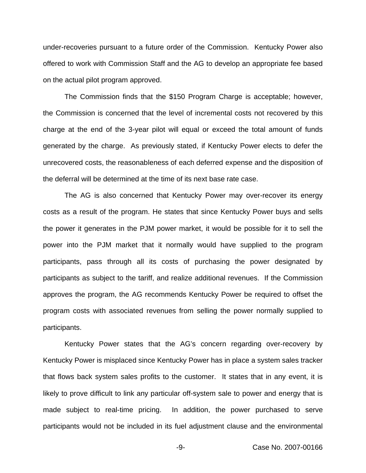under-recoveries pursuant to a future order of the Commission. Kentucky Power also offered to work with Commission Staff and the AG to develop an appropriate fee based on the actual pilot program approved.

The Commission finds that the \$150 Program Charge is acceptable; however, the Commission is concerned that the level of incremental costs not recovered by this charge at the end of the 3-year pilot will equal or exceed the total amount of funds generated by the charge. As previously stated, if Kentucky Power elects to defer the unrecovered costs, the reasonableness of each deferred expense and the disposition of the deferral will be determined at the time of its next base rate case.

The AG is also concerned that Kentucky Power may over-recover its energy costs as a result of the program. He states that since Kentucky Power buys and sells the power it generates in the PJM power market, it would be possible for it to sell the power into the PJM market that it normally would have supplied to the program participants, pass through all its costs of purchasing the power designated by participants as subject to the tariff, and realize additional revenues. If the Commission approves the program, the AG recommends Kentucky Power be required to offset the program costs with associated revenues from selling the power normally supplied to participants.

Kentucky Power states that the AG's concern regarding over-recovery by Kentucky Power is misplaced since Kentucky Power has in place a system sales tracker that flows back system sales profits to the customer. It states that in any event, it is likely to prove difficult to link any particular off-system sale to power and energy that is made subject to real-time pricing. In addition, the power purchased to serve participants would not be included in its fuel adjustment clause and the environmental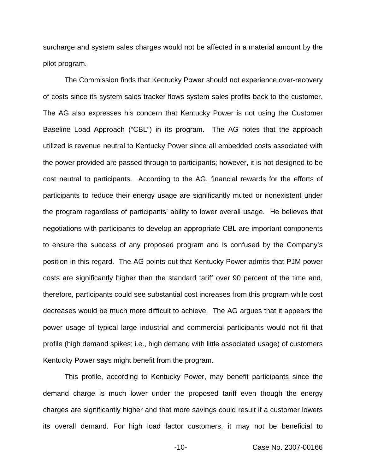surcharge and system sales charges would not be affected in a material amount by the pilot program.

The Commission finds that Kentucky Power should not experience over-recovery of costs since its system sales tracker flows system sales profits back to the customer. The AG also expresses his concern that Kentucky Power is not using the Customer Baseline Load Approach ("CBL") in its program. The AG notes that the approach utilized is revenue neutral to Kentucky Power since all embedded costs associated with the power provided are passed through to participants; however, it is not designed to be cost neutral to participants. According to the AG, financial rewards for the efforts of participants to reduce their energy usage are significantly muted or nonexistent under the program regardless of participants' ability to lower overall usage. He believes that negotiations with participants to develop an appropriate CBL are important components to ensure the success of any proposed program and is confused by the Company's position in this regard. The AG points out that Kentucky Power admits that PJM power costs are significantly higher than the standard tariff over 90 percent of the time and, therefore, participants could see substantial cost increases from this program while cost decreases would be much more difficult to achieve. The AG argues that it appears the power usage of typical large industrial and commercial participants would not fit that profile (high demand spikes; i.e., high demand with little associated usage) of customers Kentucky Power says might benefit from the program.

This profile, according to Kentucky Power, may benefit participants since the demand charge is much lower under the proposed tariff even though the energy charges are significantly higher and that more savings could result if a customer lowers its overall demand. For high load factor customers, it may not be beneficial to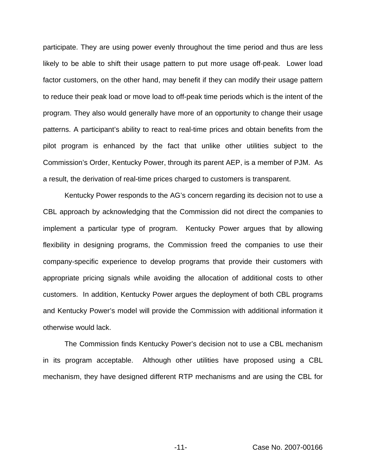participate. They are using power evenly throughout the time period and thus are less likely to be able to shift their usage pattern to put more usage off-peak. Lower load factor customers, on the other hand, may benefit if they can modify their usage pattern to reduce their peak load or move load to off-peak time periods which is the intent of the program. They also would generally have more of an opportunity to change their usage patterns. A participant's ability to react to real-time prices and obtain benefits from the pilot program is enhanced by the fact that unlike other utilities subject to the Commission's Order, Kentucky Power, through its parent AEP, is a member of PJM. As a result, the derivation of real-time prices charged to customers is transparent.

Kentucky Power responds to the AG's concern regarding its decision not to use a CBL approach by acknowledging that the Commission did not direct the companies to implement a particular type of program. Kentucky Power argues that by allowing flexibility in designing programs, the Commission freed the companies to use their company-specific experience to develop programs that provide their customers with appropriate pricing signals while avoiding the allocation of additional costs to other customers. In addition, Kentucky Power argues the deployment of both CBL programs and Kentucky Power's model will provide the Commission with additional information it otherwise would lack.

The Commission finds Kentucky Power's decision not to use a CBL mechanism in its program acceptable. Although other utilities have proposed using a CBL mechanism, they have designed different RTP mechanisms and are using the CBL for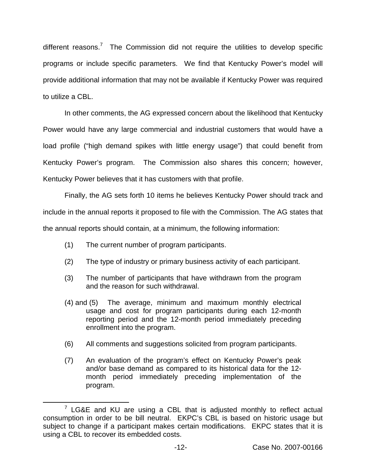different reasons.<sup>7</sup> The Commission did not require the utilities to develop specific programs or include specific parameters. We find that Kentucky Power's model will provide additional information that may not be available if Kentucky Power was required to utilize a CBL.

In other comments, the AG expressed concern about the likelihood that Kentucky Power would have any large commercial and industrial customers that would have a load profile ("high demand spikes with little energy usage") that could benefit from Kentucky Power's program. The Commission also shares this concern; however, Kentucky Power believes that it has customers with that profile.

Finally, the AG sets forth 10 items he believes Kentucky Power should track and include in the annual reports it proposed to file with the Commission. The AG states that the annual reports should contain, at a minimum, the following information:

- (1) The current number of program participants.
- (2) The type of industry or primary business activity of each participant.
- (3) The number of participants that have withdrawn from the program and the reason for such withdrawal.
- (4) and (5) The average, minimum and maximum monthly electrical usage and cost for program participants during each 12-month reporting period and the 12-month period immediately preceding enrollment into the program.
- (6) All comments and suggestions solicited from program participants.
- (7) An evaluation of the program's effect on Kentucky Power's peak and/or base demand as compared to its historical data for the 12 month period immediately preceding implementation of the program.

 $7$  LG&E and KU are using a CBL that is adjusted monthly to reflect actual consumption in order to be bill neutral. EKPC's CBL is based on historic usage but subject to change if a participant makes certain modifications. EKPC states that it is using a CBL to recover its embedded costs.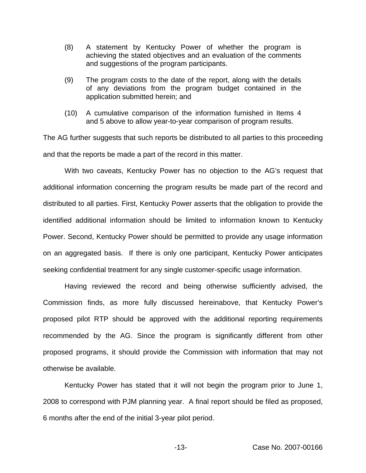- (8) A statement by Kentucky Power of whether the program is achieving the stated objectives and an evaluation of the comments and suggestions of the program participants.
- (9) The program costs to the date of the report, along with the details of any deviations from the program budget contained in the application submitted herein; and
- (10) A cumulative comparison of the information furnished in Items 4 and 5 above to allow year-to-year comparison of program results.

The AG further suggests that such reports be distributed to all parties to this proceeding and that the reports be made a part of the record in this matter.

With two caveats, Kentucky Power has no objection to the AG's request that additional information concerning the program results be made part of the record and distributed to all parties. First, Kentucky Power asserts that the obligation to provide the identified additional information should be limited to information known to Kentucky Power. Second, Kentucky Power should be permitted to provide any usage information on an aggregated basis. If there is only one participant, Kentucky Power anticipates seeking confidential treatment for any single customer-specific usage information.

Having reviewed the record and being otherwise sufficiently advised, the Commission finds, as more fully discussed hereinabove, that Kentucky Power's proposed pilot RTP should be approved with the additional reporting requirements recommended by the AG. Since the program is significantly different from other proposed programs, it should provide the Commission with information that may not otherwise be available.

Kentucky Power has stated that it will not begin the program prior to June 1, 2008 to correspond with PJM planning year. A final report should be filed as proposed, 6 months after the end of the initial 3-year pilot period.